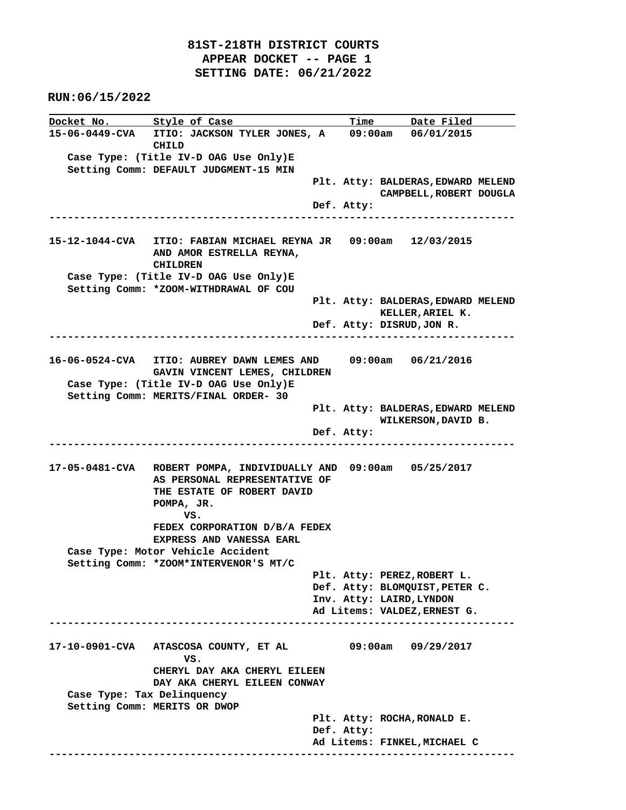**Docket No.** Style of Case Time Date Filed **15-06-0449-CVA ITIO: JACKSON TYLER JONES, A 09:00am 06/01/2015 CHILD Case Type: (Title IV-D OAG Use Only)E Setting Comm: DEFAULT JUDGMENT-15 MIN Plt. Atty: BALDERAS,EDWARD MELEND CAMPBELL,ROBERT DOUGLA Def. Atty: ---------------------------------------------------------------------------- 15-12-1044-CVA ITIO: FABIAN MICHAEL REYNA JR 09:00am 12/03/2015 AND AMOR ESTRELLA REYNA, CHILDREN Case Type: (Title IV-D OAG Use Only)E Setting Comm: \*ZOOM-WITHDRAWAL OF COU Plt. Atty: BALDERAS,EDWARD MELEND KELLER,ARIEL K. Def. Atty: DISRUD,JON R. ---------------------------------------------------------------------------- 16-06-0524-CVA ITIO: AUBREY DAWN LEMES AND 09:00am 06/21/2016 GAVIN VINCENT LEMES, CHILDREN Case Type: (Title IV-D OAG Use Only)E Setting Comm: MERITS/FINAL ORDER- 30 Plt. Atty: BALDERAS,EDWARD MELEND WILKERSON,DAVID B. Def. Atty: ---------------------------------------------------------------------------- 17-05-0481-CVA ROBERT POMPA, INDIVIDUALLY AND 09:00am 05/25/2017 AS PERSONAL REPRESENTATIVE OF THE ESTATE OF ROBERT DAVID POMPA, JR.** *VS.* **VS. FEDEX CORPORATION D/B/A FEDEX EXPRESS AND VANESSA EARL Case Type: Motor Vehicle Accident Setting Comm: \*ZOOM\*INTERVENOR'S MT/C Plt. Atty: PEREZ,ROBERT L. Def. Atty: BLOMQUIST,PETER C. Inv. Atty: LAIRD,LYNDON Ad Litems: VALDEZ,ERNEST G. ---------------------------------------------------------------------------- 17-10-0901-CVA ATASCOSA COUNTY, ET AL 09:00am 09/29/2017** *VS.* **VS. CHERYL DAY AKA CHERYL EILEEN DAY AKA CHERYL EILEEN CONWAY Case Type: Tax Delinquency Setting Comm: MERITS OR DWOP Plt. Atty: ROCHA,RONALD E. Def. Atty: Ad Litems: FINKEL,MICHAEL C ----------------------------------------------------------------------------**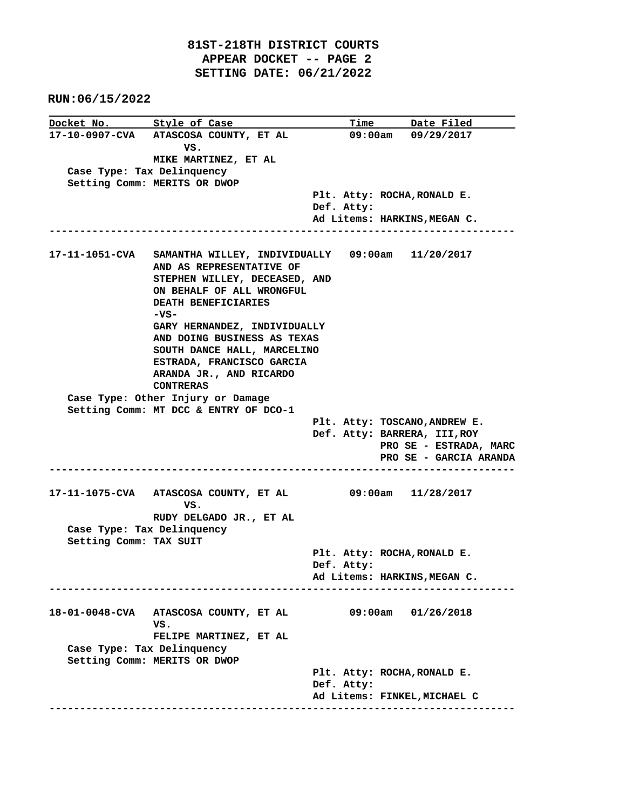|                            | Docket No. Style of Case                                        |            | Time Date Filed               |
|----------------------------|-----------------------------------------------------------------|------------|-------------------------------|
|                            | 17-10-0907-CVA ATASCOSA COUNTY, ET AL                           |            | 09:00am 09/29/2017            |
|                            | vs.                                                             |            |                               |
|                            | MIKE MARTINEZ, ET AL                                            |            |                               |
| Case Type: Tax Delinquency |                                                                 |            |                               |
|                            | Setting Comm: MERITS OR DWOP                                    |            |                               |
|                            |                                                                 | Def. Atty: | Plt. Atty: ROCHA, RONALD E.   |
|                            |                                                                 |            | Ad Litems: HARKINS, MEGAN C.  |
| .                          |                                                                 |            |                               |
|                            |                                                                 |            |                               |
|                            | 17-11-1051-CVA SAMANTHA WILLEY, INDIVIDUALLY 09:00am 11/20/2017 |            |                               |
|                            | AND AS REPRESENTATIVE OF                                        |            |                               |
|                            | STEPHEN WILLEY, DECEASED, AND                                   |            |                               |
|                            | ON BEHALF OF ALL WRONGFUL                                       |            |                               |
|                            | DEATH BENEFICIARIES                                             |            |                               |
|                            | $-VS-$                                                          |            |                               |
|                            | GARY HERNANDEZ, INDIVIDUALLY<br>AND DOING BUSINESS AS TEXAS     |            |                               |
|                            | SOUTH DANCE HALL, MARCELINO                                     |            |                               |
|                            | ESTRADA, FRANCISCO GARCIA                                       |            |                               |
|                            | ARANDA JR., AND RICARDO                                         |            |                               |
|                            | <b>CONTRERAS</b>                                                |            |                               |
|                            | Case Type: Other Injury or Damage                               |            |                               |
|                            | Setting Comm: MT DCC & ENTRY OF DCO-1                           |            |                               |
|                            |                                                                 |            | Plt. Atty: TOSCANO, ANDREW E. |
|                            |                                                                 |            | Def. Atty: BARRERA, III, ROY  |
|                            |                                                                 |            | PRO SE - ESTRADA, MARC        |
|                            |                                                                 |            | PRO SE - GARCIA ARANDA        |
|                            |                                                                 |            |                               |
|                            | 17-11-1075-CVA ATASCOSA COUNTY, ET AL 09:00am 11/28/2017        |            |                               |
|                            | vs.                                                             |            |                               |
|                            | RUDY DELGADO JR., ET AL                                         |            |                               |
| Case Type: Tax Delinquency |                                                                 |            |                               |
| Setting Comm: TAX SUIT     |                                                                 |            |                               |
|                            |                                                                 |            | Plt. Atty: ROCHA, RONALD E.   |
|                            |                                                                 | Def. Atty: |                               |
|                            |                                                                 |            | Ad Litems: HARKINS, MEGAN C.  |
|                            |                                                                 |            |                               |
|                            | 18-01-0048-CVA ATASCOSA COUNTY, ET AL                           |            | 09:00am 01/26/2018            |
|                            | vs.                                                             |            |                               |
|                            | FELIPE MARTINEZ, ET AL                                          |            |                               |
| Case Type: Tax Delinquency |                                                                 |            |                               |
|                            | Setting Comm: MERITS OR DWOP                                    |            |                               |
|                            |                                                                 |            | Plt. Atty: ROCHA, RONALD E.   |
|                            |                                                                 | Def. Atty: |                               |
|                            |                                                                 |            | Ad Litems: FINKEL, MICHAEL C  |
|                            |                                                                 |            |                               |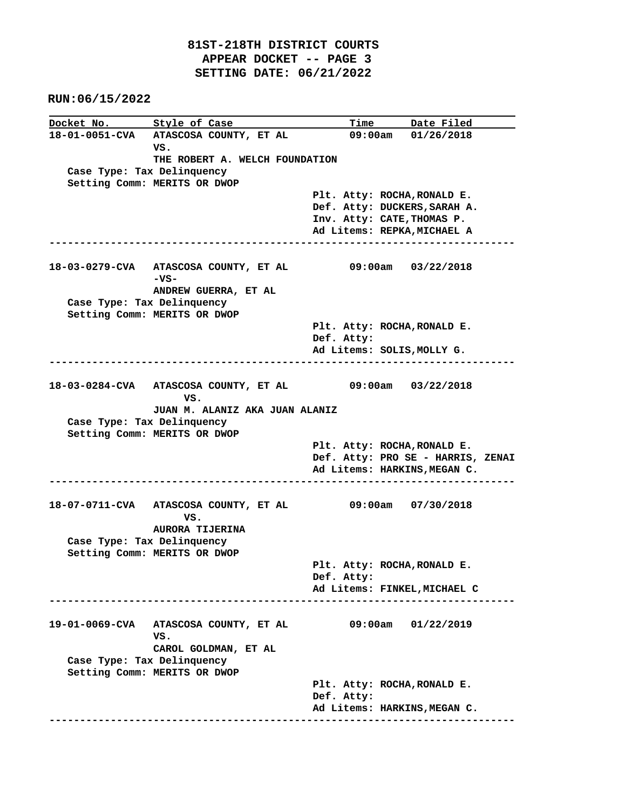|                            | Docket No. Style of Case                                         |             | Time Date Filed                                                   |
|----------------------------|------------------------------------------------------------------|-------------|-------------------------------------------------------------------|
|                            | 18-01-0051-CVA ATASCOSA COUNTY, ET AL<br>vs.                     |             | $09:00am$ $01/26/2018$                                            |
|                            | THE ROBERT A. WELCH FOUNDATION                                   |             |                                                                   |
| Case Type: Tax Delinquency |                                                                  |             |                                                                   |
|                            | Setting Comm: MERITS OR DWOP                                     |             |                                                                   |
|                            |                                                                  |             | Plt. Atty: ROCHA, RONALD E.                                       |
|                            |                                                                  |             | Def. Atty: DUCKERS, SARAH A.                                      |
|                            |                                                                  |             | Inv. Atty: CATE, THOMAS P.<br>Ad Litems: REPKA, MICHAEL A         |
|                            |                                                                  | ----------- |                                                                   |
|                            |                                                                  |             |                                                                   |
|                            | 18-03-0279-CVA ATASCOSA COUNTY, ET AL 09:00am 03/22/2018<br>-vs- |             |                                                                   |
|                            | ANDREW GUERRA, ET AL                                             |             |                                                                   |
| Case Type: Tax Delinquency |                                                                  |             |                                                                   |
|                            | Setting Comm: MERITS OR DWOP                                     |             |                                                                   |
|                            |                                                                  |             | Plt. Atty: ROCHA, RONALD E.                                       |
|                            |                                                                  | Def. Atty:  |                                                                   |
|                            |                                                                  |             | Ad Litems: SOLIS, MOLLY G.                                        |
|                            |                                                                  |             |                                                                   |
|                            | 18-03-0284-CVA ATASCOSA COUNTY, ET AL 09:00am 03/22/2018<br>VS.  |             |                                                                   |
|                            | JUAN M. ALANIZ AKA JUAN ALANIZ                                   |             |                                                                   |
| Case Type: Tax Delinquency |                                                                  |             |                                                                   |
|                            | Setting Comm: MERITS OR DWOP                                     |             |                                                                   |
|                            |                                                                  |             | Plt. Atty: ROCHA, RONALD E.                                       |
|                            |                                                                  |             | Def. Atty: PRO SE - HARRIS, ZENAI<br>Ad Litems: HARKINS, MEGAN C. |
|                            |                                                                  |             |                                                                   |
|                            |                                                                  |             |                                                                   |
|                            | 18-07-0711-CVA ATASCOSA COUNTY, ET AL 09:00am 07/30/2018<br>VS.  |             |                                                                   |
|                            | <b>AURORA TIJERINA</b>                                           |             |                                                                   |
| Case Type: Tax Delinquency |                                                                  |             |                                                                   |
|                            | Setting Comm: MERITS OR DWOP                                     |             | Plt. Atty: ROCHA, RONALD E.                                       |
|                            |                                                                  | Def. Atty:  |                                                                   |
|                            |                                                                  |             | Ad Litems: FINKEL, MICHAEL C                                      |
|                            |                                                                  |             |                                                                   |
|                            |                                                                  |             |                                                                   |
|                            | 19-01-0069-CVA ATASCOSA COUNTY, ET AL<br>VS.                     |             | 09:00am 01/22/2019                                                |
|                            | CAROL GOLDMAN, ET AL                                             |             |                                                                   |
| Case Type: Tax Delinquency |                                                                  |             |                                                                   |
|                            | Setting Comm: MERITS OR DWOP                                     |             |                                                                   |
|                            |                                                                  |             | Plt. Atty: ROCHA, RONALD E.                                       |
|                            |                                                                  | Def. Atty:  |                                                                   |
|                            |                                                                  |             | Ad Litems: HARKINS, MEGAN C.                                      |
|                            |                                                                  |             |                                                                   |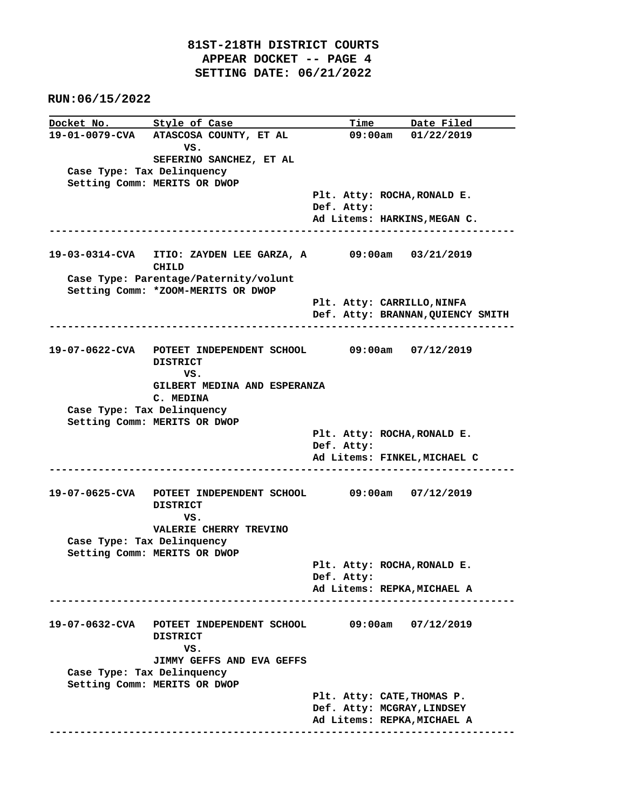**Docket No.** Style of Case Time Date Filed **19-01-0079-CVA ATASCOSA COUNTY, ET AL 09:00am 01/22/2019 VS. SEFERINO SANCHEZ, ET AL Case Type: Tax Delinquency Setting Comm: MERITS OR DWOP Plt. Atty: ROCHA,RONALD E. Def. Atty: Ad Litems: HARKINS,MEGAN C. ---------------------------------------------------------------------------- 19-03-0314-CVA ITIO: ZAYDEN LEE GARZA, A 09:00am 03/21/2019 CHILD Case Type: Parentage/Paternity/volunt Setting Comm: \*ZOOM-MERITS OR DWOP Plt. Atty: CARRILLO,NINFA Def. Atty: BRANNAN,QUIENCY SMITH ---------------------------------------------------------------------------- 19-07-0622-CVA POTEET INDEPENDENT SCHOOL 09:00am 07/12/2019 DISTRICT** *VS.* **VS. GILBERT MEDINA AND ESPERANZA C. MEDINA Case Type: Tax Delinquency Setting Comm: MERITS OR DWOP Plt. Atty: ROCHA,RONALD E. Def. Atty: Ad Litems: FINKEL,MICHAEL C ---------------------------------------------------------------------------- 19-07-0625-CVA POTEET INDEPENDENT SCHOOL 09:00am 07/12/2019 DISTRICT VS. VALERIE CHERRY TREVINO Case Type: Tax Delinquency Setting Comm: MERITS OR DWOP Plt. Atty: ROCHA,RONALD E. Def. Atty: Ad Litems: REPKA,MICHAEL A ---------------------------------------------------------------------------- 19-07-0632-CVA POTEET INDEPENDENT SCHOOL 09:00am 07/12/2019 DISTRICT** *VS.*  **JIMMY GEFFS AND EVA GEFFS Case Type: Tax Delinquency Setting Comm: MERITS OR DWOP Plt. Atty: CATE,THOMAS P. Def. Atty: MCGRAY,LINDSEY Ad Litems: REPKA,MICHAEL A ----------------------------------------------------------------------------**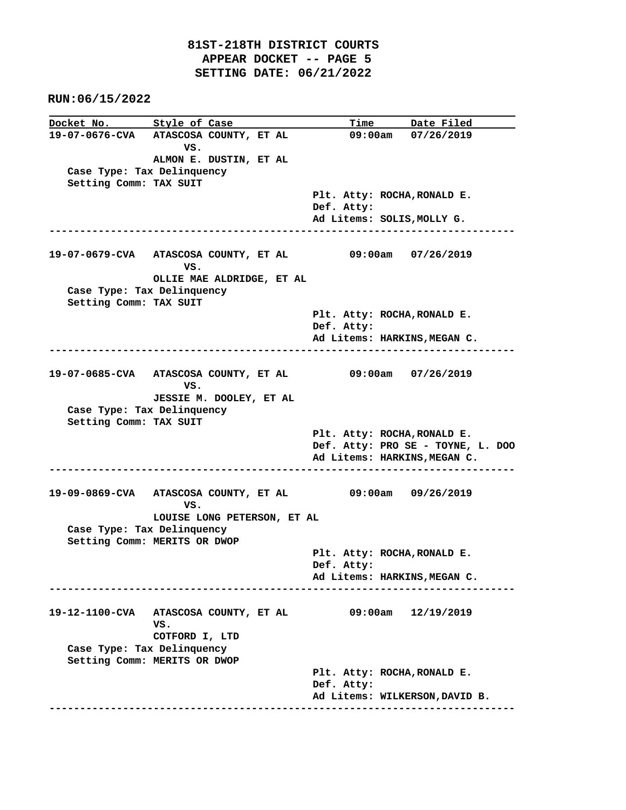**Docket No.** Style of Case Time Date Filed **19-07-0676-CVA ATASCOSA COUNTY, ET AL 09:00am 07/26/2019 VS. ALMON E. DUSTIN, ET AL Case Type: Tax Delinquency Setting Comm: TAX SUIT Plt. Atty: ROCHA,RONALD E. Def. Atty: Ad Litems: SOLIS,MOLLY G. ---------------------------------------------------------------------------- 19-07-0679-CVA ATASCOSA COUNTY, ET AL 09:00am 07/26/2019 VS. OLLIE MAE ALDRIDGE, ET AL Case Type: Tax Delinquency Setting Comm: TAX SUIT Plt. Atty: ROCHA,RONALD E. Def. Atty: Ad Litems: HARKINS,MEGAN C. ---------------------------------------------------------------------------- 19-07-0685-CVA ATASCOSA COUNTY, ET AL 09:00am 07/26/2019 VS. JESSIE M. DOOLEY, ET AL Case Type: Tax Delinquency Setting Comm: TAX SUIT Plt. Atty: ROCHA,RONALD E. Def. Atty: PRO SE - TOYNE, L. DOO Ad Litems: HARKINS,MEGAN C. ---------------------------------------------------------------------------- 19-09-0869-CVA ATASCOSA COUNTY, ET AL 09:00am 09/26/2019** *VS.* **VS. LOUISE LONG PETERSON, ET AL Case Type: Tax Delinquency Setting Comm: MERITS OR DWOP Plt. Atty: ROCHA,RONALD E. Def. Atty: Ad Litems: HARKINS,MEGAN C. ---------------------------------------------------------------------------- 19-12-1100-CVA ATASCOSA COUNTY, ET AL 09:00am 12/19/2019 VS. COTFORD I, LTD Case Type: Tax Delinquency Setting Comm: MERITS OR DWOP Plt. Atty: ROCHA,RONALD E. Def. Atty: Ad Litems: WILKERSON,DAVID B. ----------------------------------------------------------------------------**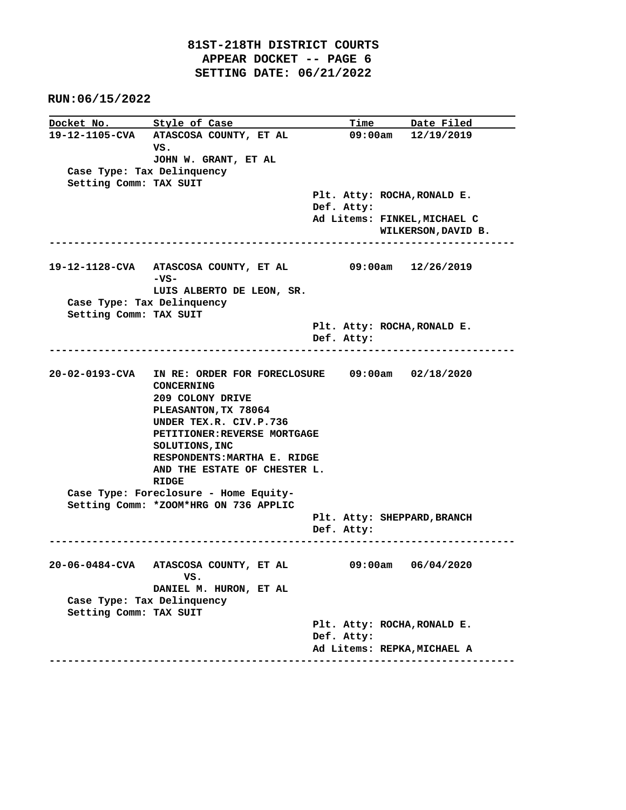**RUN:06/15/2022** the control of the control of the control of the control of

|                                                      | Docket No. Style of Case                                                                                                                                                                                                                                                             |            | <u>Time Date Filed</u>                                     |  |
|------------------------------------------------------|--------------------------------------------------------------------------------------------------------------------------------------------------------------------------------------------------------------------------------------------------------------------------------------|------------|------------------------------------------------------------|--|
| Case Type: Tax Delinquency<br>Setting Comm: TAX SUIT | 19-12-1105-CVA ATASCOSA COUNTY, ET AL<br>VS.<br>JOHN W. GRANT, ET AL                                                                                                                                                                                                                 |            | 09:00am 12/19/2019                                         |  |
|                                                      |                                                                                                                                                                                                                                                                                      | Def. Atty: | Plt. Atty: ROCHA, RONALD E.                                |  |
|                                                      |                                                                                                                                                                                                                                                                                      |            | Ad Litems: FINKEL, MICHAEL C<br>WILKERSON, DAVID B.        |  |
| Case Type: Tax Delinquency                           | $-vs-$<br>LUIS ALBERTO DE LEON, SR.                                                                                                                                                                                                                                                  |            |                                                            |  |
| Setting Comm: TAX SUIT                               | ---------------------------                                                                                                                                                                                                                                                          | Def. Atty: | Plt. Atty: ROCHA, RONALD E.                                |  |
|                                                      | 20-02-0193-CVA IN RE: ORDER FOR FORECLOSURE 09:00am 02/18/2020<br>CONCERNING<br>209 COLONY DRIVE<br>PLEASANTON, TX 78064<br>UNDER TEX.R. CIV.P.736<br>PETITIONER: REVERSE MORTGAGE<br>SOLUTIONS, INC<br>RESPONDENTS: MARTHA E. RIDGE<br>AND THE ESTATE OF CHESTER L.<br><b>RIDGE</b> |            |                                                            |  |
|                                                      | Case Type: Foreclosure - Home Equity-<br>Setting Comm: *ZOOM*HRG ON 736 APPLIC                                                                                                                                                                                                       | Def. Atty: | Plt. Atty: SHEPPARD, BRANCH                                |  |
| Case Type: Tax Delinquency<br>Setting Comm: TAX SUIT | 20-06-0484-CVA ATASCOSA COUNTY, ET AL<br>vs.<br>DANIEL M. HURON, ET AL                                                                                                                                                                                                               |            | $09:00am$ $06/04/2020$                                     |  |
|                                                      |                                                                                                                                                                                                                                                                                      | Def. Atty: | Plt. Atty: ROCHA, RONALD E.<br>Ad Litems: REPKA, MICHAEL A |  |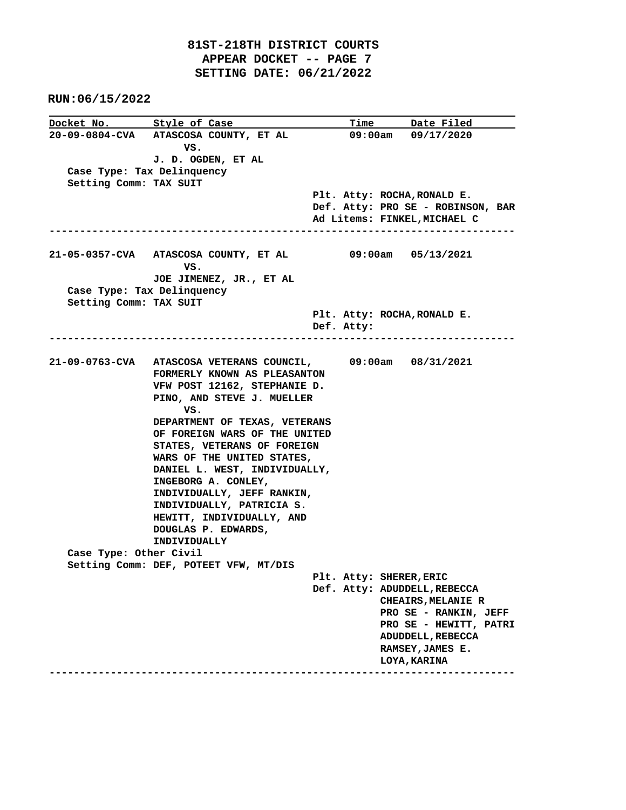|                            | Docket No. 5tyle of Case                                     |            | Time Date Filed                   |
|----------------------------|--------------------------------------------------------------|------------|-----------------------------------|
|                            | 20-09-0804-CVA ATASCOSA COUNTY, ET AL                        |            | $09:00am$ $09/17/2020$            |
|                            | vs.                                                          |            |                                   |
|                            | J. D. OGDEN, ET AL                                           |            |                                   |
| Case Type: Tax Delinquency |                                                              |            |                                   |
| Setting Comm: TAX SUIT     |                                                              |            |                                   |
|                            |                                                              |            | Plt. Atty: ROCHA, RONALD E.       |
|                            |                                                              |            | Def. Atty: PRO SE - ROBINSON, BAR |
|                            |                                                              |            | Ad Litems: FINKEL, MICHAEL C      |
|                            |                                                              |            | -------------                     |
|                            | 21-05-0357-CVA ATASCOSA COUNTY, ET AL 09:00am 05/13/2021     |            |                                   |
|                            | vs.                                                          |            |                                   |
|                            | JOE JIMENEZ, JR., ET AL                                      |            |                                   |
| Case Type: Tax Delinquency |                                                              |            |                                   |
| Setting Comm: TAX SUIT     |                                                              |            |                                   |
|                            |                                                              |            | Plt. Atty: ROCHA, RONALD E.       |
|                            |                                                              | Def. Atty: |                                   |
|                            |                                                              |            |                                   |
|                            |                                                              |            |                                   |
|                            | 21-09-0763-CVA ATASCOSA VETERANS COUNCIL, 09:00am 08/31/2021 |            |                                   |
|                            | FORMERLY KNOWN AS PLEASANTON                                 |            |                                   |
|                            | VFW POST 12162, STEPHANIE D.                                 |            |                                   |
|                            | PINO, AND STEVE J. MUELLER                                   |            |                                   |
|                            | vs.                                                          |            |                                   |
|                            | DEPARTMENT OF TEXAS, VETERANS                                |            |                                   |
|                            | OF FOREIGN WARS OF THE UNITED                                |            |                                   |
|                            | STATES, VETERANS OF FOREIGN                                  |            |                                   |
|                            | WARS OF THE UNITED STATES,                                   |            |                                   |
|                            | DANIEL L. WEST, INDIVIDUALLY,                                |            |                                   |
|                            | INGEBORG A. CONLEY,                                          |            |                                   |
|                            | INDIVIDUALLY, JEFF RANKIN,                                   |            |                                   |
|                            | INDIVIDUALLY, PATRICIA S.                                    |            |                                   |
|                            | HEWITT, INDIVIDUALLY, AND                                    |            |                                   |
|                            | DOUGLAS P. EDWARDS,                                          |            |                                   |
|                            | INDIVIDUALLY                                                 |            |                                   |
| Case Type: Other Civil     |                                                              |            |                                   |
|                            | Setting Comm: DEF, POTEET VFW, MT/DIS                        |            |                                   |
|                            |                                                              |            | Plt. Atty: SHERER, ERIC           |
|                            |                                                              |            | Def. Atty: ADUDDELL, REBECCA      |
|                            |                                                              |            | CHEAIRS, MELANIE R                |
|                            |                                                              |            | PRO SE - RANKIN, JEFF             |
|                            |                                                              |            | PRO SE - HEWITT, PATRI            |
|                            |                                                              |            | <b>ADUDDELL, REBECCA</b>          |
|                            |                                                              |            | RAMSEY, JAMES E.                  |
|                            |                                                              |            | <b>LOYA, KARINA</b>               |
|                            |                                                              |            |                                   |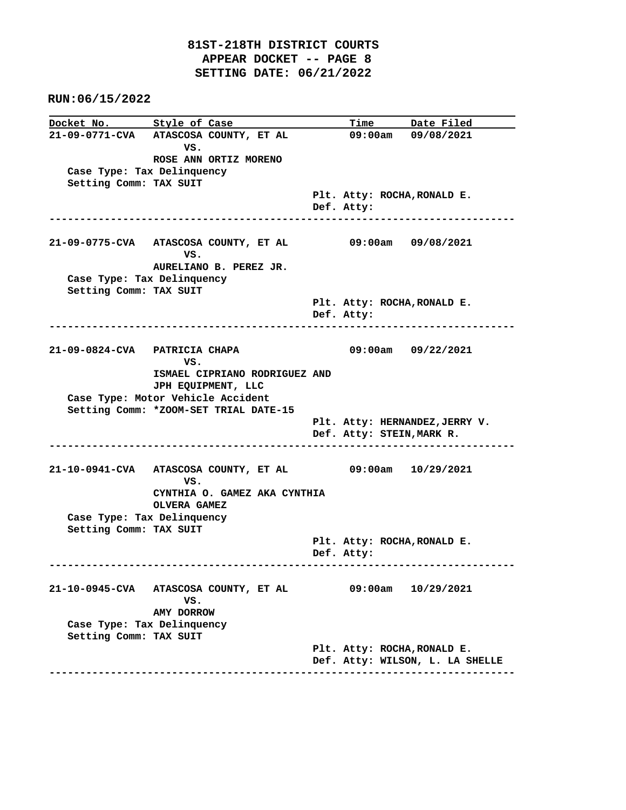**Docket No. Style of Case Time Date Filed**<br>21-09-0771-CVA ATASCOSA COUNTY, ET AL 09:00am 09/08/2021 **21-09-0771-CVA ATASCOSA COUNTY, ET AL** *VS.* **VS. ROSE ANN ORTIZ MORENO Case Type: Tax Delinquency Setting Comm: TAX SUIT Plt. Atty: ROCHA,RONALD E. Def. Atty: ---------------------------------------------------------------------------- 21-09-0775-CVA ATASCOSA COUNTY, ET AL 09:00am 09/08/2021** *VS.* **VS. AURELIANO B. PEREZ JR. Case Type: Tax Delinquency Setting Comm: TAX SUIT Plt. Atty: ROCHA,RONALD E. Def. Atty: ---------------------------------------------------------------------------- 21-09-0824-CVA PATRICIA CHAPA 09:00am 09/22/2021** *VS.* **VS. ISMAEL CIPRIANO RODRIGUEZ AND JPH EQUIPMENT, LLC Case Type: Motor Vehicle Accident Setting Comm: \*ZOOM-SET TRIAL DATE-15 Plt. Atty: HERNANDEZ,JERRY V. Def. Atty: STEIN,MARK R. ---------------------------------------------------------------------------- 21-10-0941-CVA ATASCOSA COUNTY, ET AL 09:00am 10/29/2021** *VS.* **VS. CYNTHIA O. GAMEZ AKA CYNTHIA OLVERA GAMEZ Case Type: Tax Delinquency Setting Comm: TAX SUIT Plt. Atty: ROCHA,RONALD E. Def. Atty: ---------------------------------------------------------------------------- 21-10-0945-CVA ATASCOSA COUNTY, ET AL 09:00am 10/29/2021** *VS.* **VS. AMY DORROW Case Type: Tax Delinquency Setting Comm: TAX SUIT Plt. Atty: ROCHA,RONALD E. Def. Atty: WILSON, L. LA SHELLE ----------------------------------------------------------------------------**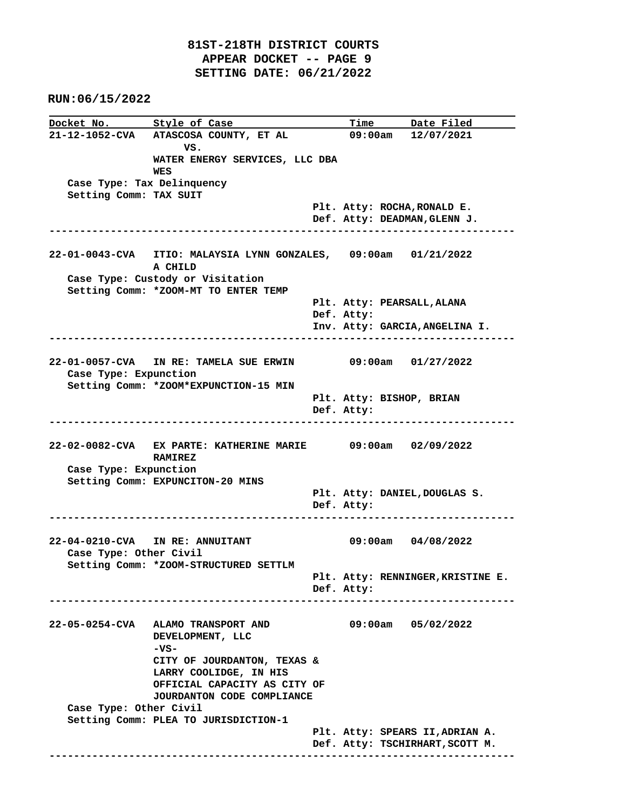**Docket No.** Style of Case Time Date Filed **21-12-1052-CVA ATASCOSA COUNTY, ET AL 09:00am 12/07/2021** *VS.* **VS. WATER ENERGY SERVICES, LLC DBA WES Case Type: Tax Delinquency Setting Comm: TAX SUIT Plt. Atty: ROCHA,RONALD E. Def. Atty: DEADMAN,GLENN J. ---------------------------------------------------------------------------- 22-01-0043-CVA ITIO: MALAYSIA LYNN GONZALES, 09:00am 01/21/2022 A CHILD Case Type: Custody or Visitation Setting Comm: \*ZOOM-MT TO ENTER TEMP Plt. Atty: PEARSALL,ALANA Def. Atty: Inv. Atty: GARCIA,ANGELINA I. ---------------------------------------------------------------------------- 22-01-0057-CVA IN RE: TAMELA SUE ERWIN 09:00am 01/27/2022 Case Type: Expunction Setting Comm: \*ZOOM\*EXPUNCTION-15 MIN Plt. Atty: BISHOP, BRIAN Def. Atty: ---------------------------------------------------------------------------- 22-02-0082-CVA EX PARTE: KATHERINE MARIE 09:00am 02/09/2022 RAMIREZ Case Type: Expunction Setting Comm: EXPUNCITON-20 MINS Plt. Atty: DANIEL,DOUGLAS S. Def. Atty: ---------------------------------------------------------------------------- 22-04-0210-CVA IN RE: ANNUITANT 09:00am 04/08/2022 Case Type: Other Civil Setting Comm: \*ZOOM-STRUCTURED SETTLM Plt. Atty: RENNINGER,KRISTINE E. Def. Atty: ---------------------------------------------------------------------------- 22-05-0254-CVA ALAMO TRANSPORT AND 09:00am 05/02/2022 DEVELOPMENT, LLC -VS- CITY OF JOURDANTON, TEXAS & LARRY COOLIDGE, IN HIS OFFICIAL CAPACITY AS CITY OF JOURDANTON CODE COMPLIANCE Case Type: Other Civil Setting Comm: PLEA TO JURISDICTION-1 Plt. Atty: SPEARS II,ADRIAN A. Def. Atty: TSCHIRHART,SCOTT M. ----------------------------------------------------------------------------**